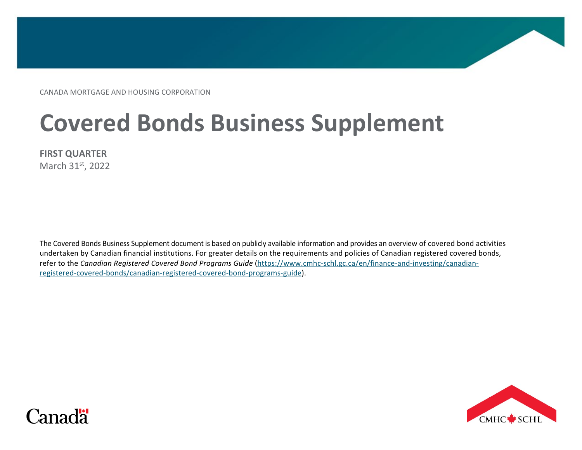CANADA MORTGAGE AND HOUSING CORPORATION

# **Covered Bonds Business Supplement**

**FIRST QUARTER**

March 31st, 2022

The Covered Bonds Business Supplement document is based on publicly available information and provides an overview of covered bond activities undertaken by Canadian financial institutions. For greater details on the requirements and policies of Canadian registered covered bonds, refer to the *Canadian Registered Covered Bond Programs Guide* [\(https://www.cmhc-schl.gc.ca/en/finance-and-investing/canadian](https://www.cmhc-schl.gc.ca/en/finance-and-investing/canadian-registered-covered-bonds/canadian-registered-covered-bond-programs-guide)[registered-covered-bonds/canadian-registered-covered-bond-programs-guide\)](https://www.cmhc-schl.gc.ca/en/finance-and-investing/canadian-registered-covered-bonds/canadian-registered-covered-bond-programs-guide).



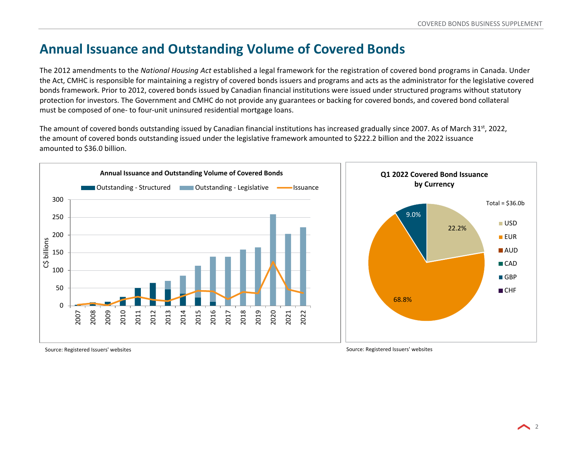# **Annual Issuance and Outstanding Volume of Covered Bonds**

The 2012 amendments to the *National Housing Act* established a legal framework for the registration of covered bond programs in Canada. Under the Act, CMHC is responsible for maintaining a registry of covered bonds issuers and programs and acts as the administrator for the legislative covered bonds framework. Prior to 2012, covered bonds issued by Canadian financial institutions were issued under structured programs without statutory protection for investors. The Government and CMHC do not provide any guarantees or backing for covered bonds, and covered bond collateral must be composed of one- to four-unit uninsured residential mortgage loans.

The amount of covered bonds outstanding issued by Canadian financial institutions has increased gradually since 2007. As of March 31st, 2022, the amount of covered bonds outstanding issued under the legislative framework amounted to \$222.2 billion and the 2022 issuance amounted to \$36.0 billion.



Source: Registered Issuers' websites Source: Registered Issuers' websites Source: Registered Issuers' websites

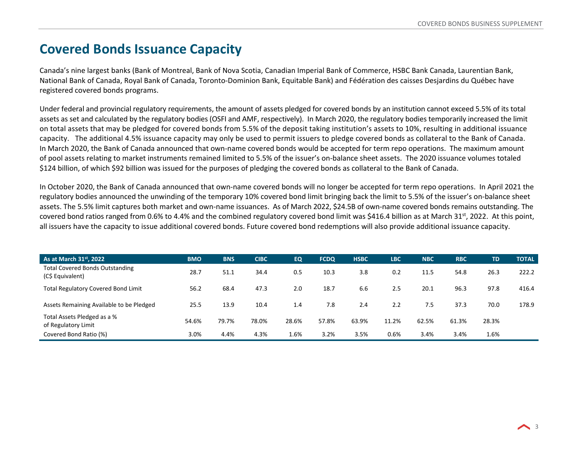#### **Covered Bonds Issuance Capacity**

Canada's nine largest banks (Bank of Montreal, Bank of Nova Scotia, Canadian Imperial Bank of Commerce, HSBC Bank Canada, Laurentian Bank, National Bank of Canada, Royal Bank of Canada, Toronto-Dominion Bank, Equitable Bank) and Fédération des caisses Desjardins du Québec have registered covered bonds programs.

Under federal and provincial regulatory requirements, the amount of assets pledged for covered bonds by an institution cannot exceed 5.5% of its total assets as set and calculated by the regulatory bodies (OSFI and AMF, respectively). In March 2020, the regulatory bodies temporarily increased the limit on total assets that may be pledged for covered bonds from 5.5% of the deposit taking institution's assets to 10%, resulting in additional issuance capacity. The additional 4.5% issuance capacity may only be used to permit issuers to pledge covered bonds as collateral to the Bank of Canada. In March 2020, the Bank of Canada announced that own-name covered bonds would be accepted for term repo operations. The maximum amount of pool assets relating to market instruments remained limited to 5.5% of the issuer's on-balance sheet assets. The 2020 issuance volumes totaled \$124 billion, of which \$92 billion was issued for the purposes of pledging the covered bonds as collateral to the Bank of Canada.

In October 2020, the Bank of Canada announced that own-name covered bonds will no longer be accepted for term repo operations. In April 2021 the regulatory bodies announced the unwinding of the temporary 10% covered bond limit bringing back the limit to 5.5% of the issuer's on-balance sheet assets. The 5.5% limit captures both market and own-name issuances. As of March 2022, \$24.5B of own-name covered bonds remains outstanding. The covered bond ratios ranged from 0.6% to 4.4% and the combined regulatory covered bond limit was \$416.4 billion as at March 31<sup>st</sup>, 2022. At this point, all issuers have the capacity to issue additional covered bonds. Future covered bond redemptions will also provide additional issuance capacity.

| As at March 31 <sup>st</sup> , 2022                        | <b>BMO</b> | <b>BNS</b> | <b>CIBC</b> | <b>EQ</b> | <b>FCDQ</b> | <b>HSBC</b> | <b>LBC</b> | <b>NBC</b> | <b>RBC</b> | <b>TD</b> | <b>TOTAL</b> |
|------------------------------------------------------------|------------|------------|-------------|-----------|-------------|-------------|------------|------------|------------|-----------|--------------|
| <b>Total Covered Bonds Outstanding</b><br>(C\$ Equivalent) | 28.7       | 51.1       | 34.4        | 0.5       | 10.3        | 3.8         | 0.2        | 11.5       | 54.8       | 26.3      | 222.2        |
| <b>Total Regulatory Covered Bond Limit</b>                 | 56.2       | 68.4       | 47.3        | 2.0       | 18.7        | 6.6         | 2.5        | 20.1       | 96.3       | 97.8      | 416.4        |
| Assets Remaining Available to be Pledged                   | 25.5       | 13.9       | 10.4        | 1.4       | 7.8         | 2.4         | 2.2        | 7.5        | 37.3       | 70.0      | 178.9        |
| Total Assets Pledged as a %<br>of Regulatory Limit         | 54.6%      | 79.7%      | 78.0%       | 28.6%     | 57.8%       | 63.9%       | 11.2%      | 62.5%      | 61.3%      | 28.3%     |              |
| Covered Bond Ratio (%)                                     | 3.0%       | 4.4%       | 4.3%        | $1.6\%$   | 3.2%        | 3.5%        | 0.6%       | 3.4%       | 3.4%       | 1.6%      |              |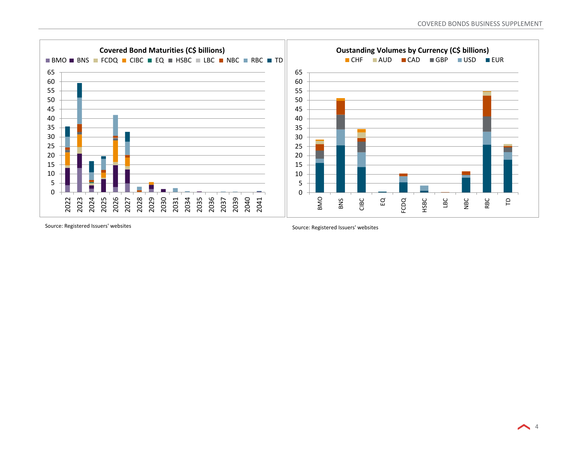

Source: Registered Issuers' websites Source: Registered Issuers' websites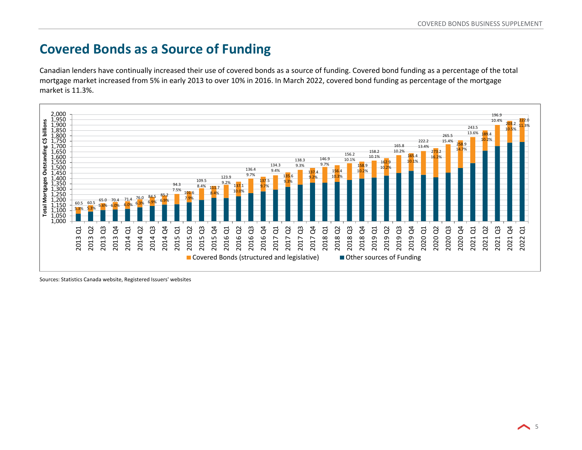## **Covered Bonds as a Source of Funding**

Canadian lenders have continually increased their use of covered bonds as a source of funding. Covered bond funding as a percentage of the total mortgage market increased from 5% in early 2013 to over 10% in 2016. In March 2022, covered bond funding as percentage of the mortgage market is 11.3%.



Sources: Statistics Canada website, Registered Issuers' websites